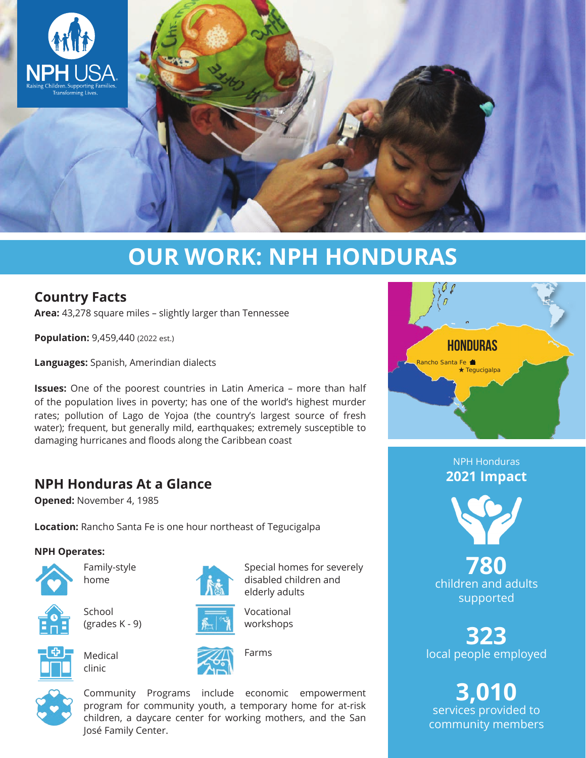

# **OUR WORK: NPH HONDURAS**

## **Country Facts**

**Area:** 43,278 square miles – slightly larger than Tennessee

**Population: 9,459,440 (2022 est.)** 

**Languages:** Spanish, Amerindian dialects

**Issues:** One of the poorest countries in Latin America – more than half of the population lives in poverty; has one of the world's highest murder rates; pollution of Lago de Yojoa (the country's largest source of fresh water); frequent, but generally mild, earthquakes; extremely susceptible to damaging hurricanes and floods along the Caribbean coast

## **NPH Honduras At a Glance**

**Opened:** November 4, 1985

**Location:** Rancho Santa Fe is one hour northeast of Tegucigalpa

#### **NPH Operates:**



Family-style home









**School** (grades K - 9)



Medical

clinic





Farms



Community Programs include economic empowerment program for community youth, a temporary home for at-risk children, a daycare center for working mothers, and the San José Family Center.



NPH Honduras **2021 Impact**



**780** children and adults supported

**323** local people employed

**3,010** services provided to community members